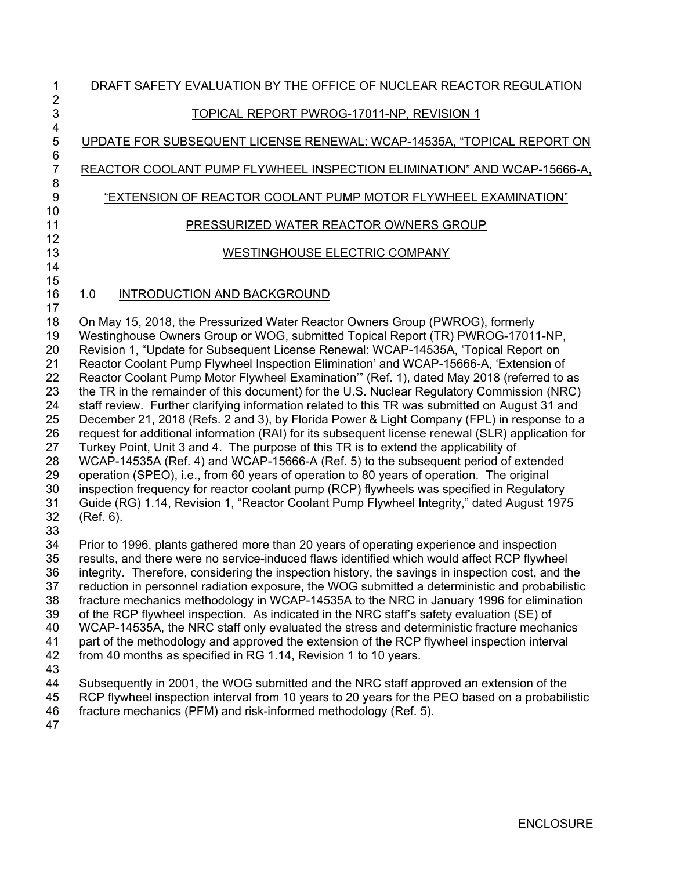# 1 DRAFT SAFETY EVALUATION BY THE OFFICE OF NUCLEAR REACTOR REGULATION 3 TOPICAL REPORT PWROG-17011-NP, REVISION 1

5 UPDATE FOR SUBSEQUENT LICENSE RENEWAL: WCAP-14535A, "TOPICAL REPORT ON

7 REACTOR COOLANT PUMP FLYWHEEL INSPECTION ELIMINATION" AND WCAP-15666-A,

### 9 "EXTENSION OF REACTOR COOLANT PUMP MOTOR FLYWHEEL EXAMINATION"

### 11 PRESSURIZED WATER REACTOR OWNERS GROUP

## 13 WESTINGHOUSE ELECTRIC COMPANY

### 16 1.0 INTRODUCTION AND BACKGROUND

17 18 On May 15, 2018, the Pressurized Water Reactor Owners Group (PWROG), formerly 19 Westinghouse Owners Group or WOG, submitted Topical Report (TR) PWROG-17011-NP, 20 Revision 1, "Update for Subsequent License Renewal: WCAP-14535A, 'Topical Report on 21 Reactor Coolant Pump Flywheel Inspection Elimination' and WCAP-15666-A, 'Extension of 22 Reactor Coolant Pump Motor Flywheel Examination'" (Ref. 1), dated May 2018 (referred to as 23 the TR in the remainder of this document) for the U.S. Nuclear Regulatory Commission (NRC) 24 staff review. Further clarifying information related to this TR was submitted on August 31 and 25 December 21, 2018 (Refs. 2 and 3), by Florida Power & Light Company (FPL) in response to a 26 request for additional information (RAI) for its subsequent license renewal (SLR) application for 27 Turkey Point, Unit 3 and 4. The purpose of this TR is to extend the applicability of 28 WCAP-14535A (Ref. 4) and WCAP-15666-A (Ref. 5) to the subsequent period of extended 29 operation (SPEO), i.e., from 60 years of operation to 80 years of operation. The original 30 inspection frequency for reactor coolant pump (RCP) flywheels was specified in Regulatory 31 Guide (RG) 1.14, Revision 1, "Reactor Coolant Pump Flywheel Integrity," dated August 1975 32 (Ref. 6). 33

34 Prior to 1996, plants gathered more than 20 years of operating experience and inspection 35 results, and there were no service-induced flaws identified which would affect RCP flywheel 36 integrity. Therefore, considering the inspection history, the savings in inspection cost, and the 37 reduction in personnel radiation exposure, the WOG submitted a deterministic and probabilistic 38 fracture mechanics methodology in WCAP-14535A to the NRC in January 1996 for elimination 39 of the RCP flywheel inspection. As indicated in the NRC staff's safety evaluation (SE) of 40 WCAP-14535A, the NRC staff only evaluated the stress and deterministic fracture mechanics 41 part of the methodology and approved the extension of the RCP flywheel inspection interval 42 from 40 months as specified in RG 1.14, Revision 1 to 10 years. 43 44 Subsequently in 2001, the WOG submitted and the NRC staff approved an extension of the

2

4

6

8

10

12

14 15

- 45 RCP flywheel inspection interval from 10 years to 20 years for the PEO based on a probabilistic 46 fracture mechanics (PFM) and risk-informed methodology (Ref. 5).
- 47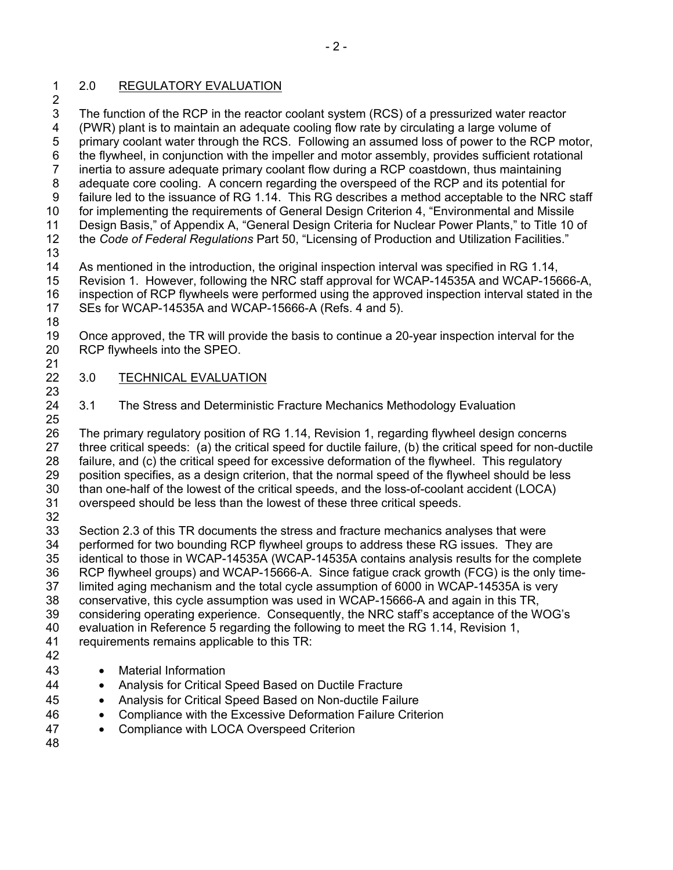#### 1 2.0 REGULATORY EVALUATION

2 3 The function of the RCP in the reactor coolant system (RCS) of a pressurized water reactor 4 (PWR) plant is to maintain an adequate cooling flow rate by circulating a large volume of 5 primary coolant water through the RCS. Following an assumed loss of power to the RCP motor, 6 the flywheel, in conjunction with the impeller and motor assembly, provides sufficient rotational 7 inertia to assure adequate primary coolant flow during a RCP coastdown, thus maintaining 8 adequate core cooling. A concern regarding the overspeed of the RCP and its potential for 9 failure led to the issuance of RG 1.14. This RG describes a method acceptable to the NRC staff 10 for implementing the requirements of General Design Criterion 4, "Environmental and Missile 11 Design Basis," of Appendix A, "General Design Criteria for Nuclear Power Plants," to Title 10 of 12 the *Code of Federal Regulations* Part 50, "Licensing of Production and Utilization Facilities." 13 14 As mentioned in the introduction, the original inspection interval was specified in RG 1.14, 15 Revision 1. However, following the NRC staff approval for WCAP-14535A and WCAP-15666-A,

16 inspection of RCP flywheels were performed using the approved inspection interval stated in the 17 SEs for WCAP-14535A and WCAP-15666-A (Refs. 4 and 5). 18

19 Once approved, the TR will provide the basis to continue a 20-year inspection interval for the 20 RCP flywheels into the SPEO. 21

- 22 3.0 TECHNICAL EVALUATION 23
- 24 3.1 The Stress and Deterministic Fracture Mechanics Methodology Evaluation 25

26 The primary regulatory position of RG 1.14, Revision 1, regarding flywheel design concerns 27 three critical speeds: (a) the critical speed for ductile failure, (b) the critical speed for non-ductile 28 failure, and (c) the critical speed for excessive deformation of the flywheel. This regulatory 29 position specifies, as a design criterion, that the normal speed of the flywheel should be less 30 than one-half of the lowest of the critical speeds, and the loss-of-coolant accident (LOCA) 31 overspeed should be less than the lowest of these three critical speeds.

32 33 Section 2.3 of this TR documents the stress and fracture mechanics analyses that were 34 performed for two bounding RCP flywheel groups to address these RG issues. They are 35 identical to those in WCAP-14535A (WCAP-14535A contains analysis results for the complete 36 RCP flywheel groups) and WCAP-15666-A. Since fatigue crack growth (FCG) is the only time-37 limited aging mechanism and the total cycle assumption of 6000 in WCAP-14535A is very 38 conservative, this cycle assumption was used in WCAP-15666-A and again in this TR, 39 considering operating experience. Consequently, the NRC staff's acceptance of the WOG's

- 40 evaluation in Reference 5 regarding the following to meet the RG 1.14, Revision 1,
- 41 requirements remains applicable to this TR:
- 42
- 43 Material Information
- 44 Analysis for Critical Speed Based on Ductile Fracture
- 45 Analysis for Critical Speed Based on Non-ductile Failure
- 46 Compliance with the Excessive Deformation Failure Criterion
- 47 Compliance with LOCA Overspeed Criterion
- 48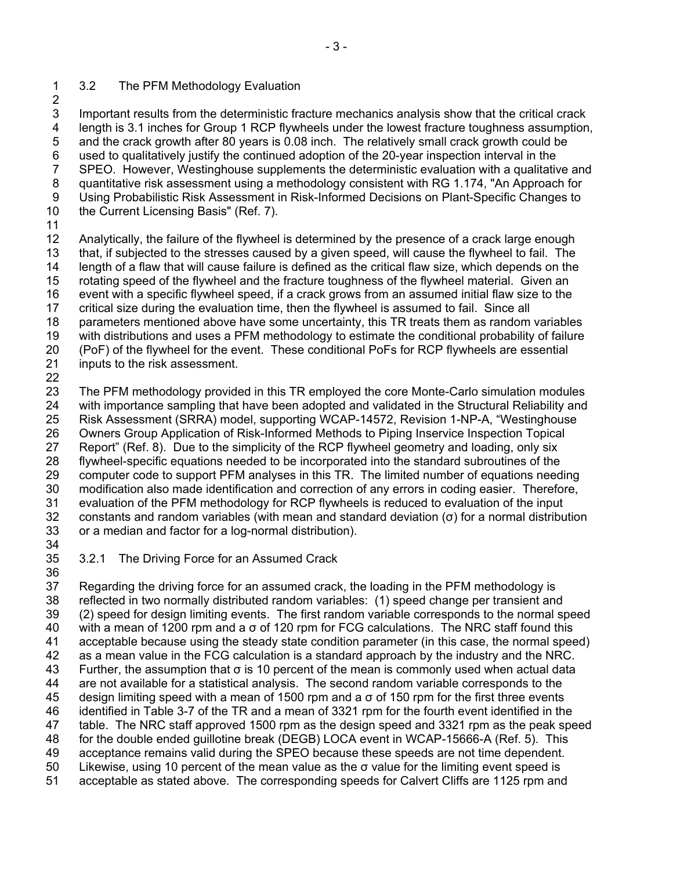#### 1 3.2 The PFM Methodology Evaluation 2

3 Important results from the deterministic fracture mechanics analysis show that the critical crack 4 length is 3.1 inches for Group 1 RCP flywheels under the lowest fracture toughness assumption, 5 and the crack growth after 80 years is 0.08 inch. The relatively small crack growth could be 6 used to qualitatively justify the continued adoption of the 20-year inspection interval in the 7 SPEO. However, Westinghouse supplements the deterministic evaluation with a qualitative and 8 quantitative risk assessment using a methodology consistent with RG 1.174, "An Approach for 9 Using Probabilistic Risk Assessment in Risk-Informed Decisions on Plant-Specific Changes to 10 the Current Licensing Basis" (Ref. 7).

11

12 Analytically, the failure of the flywheel is determined by the presence of a crack large enough 13 that, if subjected to the stresses caused by a given speed, will cause the flywheel to fail. The 14 length of a flaw that will cause failure is defined as the critical flaw size, which depends on the 15 rotating speed of the flywheel and the fracture toughness of the flywheel material. Given an 16 event with a specific flywheel speed, if a crack grows from an assumed initial flaw size to the 17 critical size during the evaluation time, then the flywheel is assumed to fail. Since all 18 parameters mentioned above have some uncertainty, this TR treats them as random variables 19 with distributions and uses a PFM methodology to estimate the conditional probability of failure 20 (PoF) of the flywheel for the event. These conditional PoFs for RCP flywheels are essential 21 inputs to the risk assessment. 22

23 The PFM methodology provided in this TR employed the core Monte-Carlo simulation modules 24 with importance sampling that have been adopted and validated in the Structural Reliability and 25 Risk Assessment (SRRA) model, supporting WCAP-14572, Revision 1-NP-A, "Westinghouse 26 Owners Group Application of Risk-Informed Methods to Piping Inservice Inspection Topical 27 Report" (Ref. 8). Due to the simplicity of the RCP flywheel geometry and loading, only six 28 flywheel-specific equations needed to be incorporated into the standard subroutines of the 29 computer code to support PFM analyses in this TR. The limited number of equations needing 30 modification also made identification and correction of any errors in coding easier. Therefore, 31 evaluation of the PFM methodology for RCP flywheels is reduced to evaluation of the input 32 constants and random variables (with mean and standard deviation  $(\sigma)$  for a normal distribution 33 or a median and factor for a log-normal distribution).

34 36

35 3.2.1 The Driving Force for an Assumed Crack

37 Regarding the driving force for an assumed crack, the loading in the PFM methodology is 38 reflected in two normally distributed random variables: (1) speed change per transient and 39 (2) speed for design limiting events. The first random variable corresponds to the normal speed 40 with a mean of 1200 rpm and a σ of 120 rpm for FCG calculations. The NRC staff found this 41 acceptable because using the steady state condition parameter (in this case, the normal speed) 42 as a mean value in the FCG calculation is a standard approach by the industry and the NRC. 43 Further, the assumption that  $\sigma$  is 10 percent of the mean is commonly used when actual data 44 are not available for a statistical analysis. The second random variable corresponds to the 45 design limiting speed with a mean of 1500 rpm and a σ of 150 rpm for the first three events 46 identified in Table 3-7 of the TR and a mean of 3321 rpm for the fourth event identified in the 47 table. The NRC staff approved 1500 rpm as the design speed and 3321 rpm as the peak speed 48 for the double ended guillotine break (DEGB) LOCA event in WCAP-15666-A (Ref. 5). This 49 acceptance remains valid during the SPEO because these speeds are not time dependent. 50 Likewise, using 10 percent of the mean value as the σ value for the limiting event speed is 51 acceptable as stated above. The corresponding speeds for Calvert Cliffs are 1125 rpm and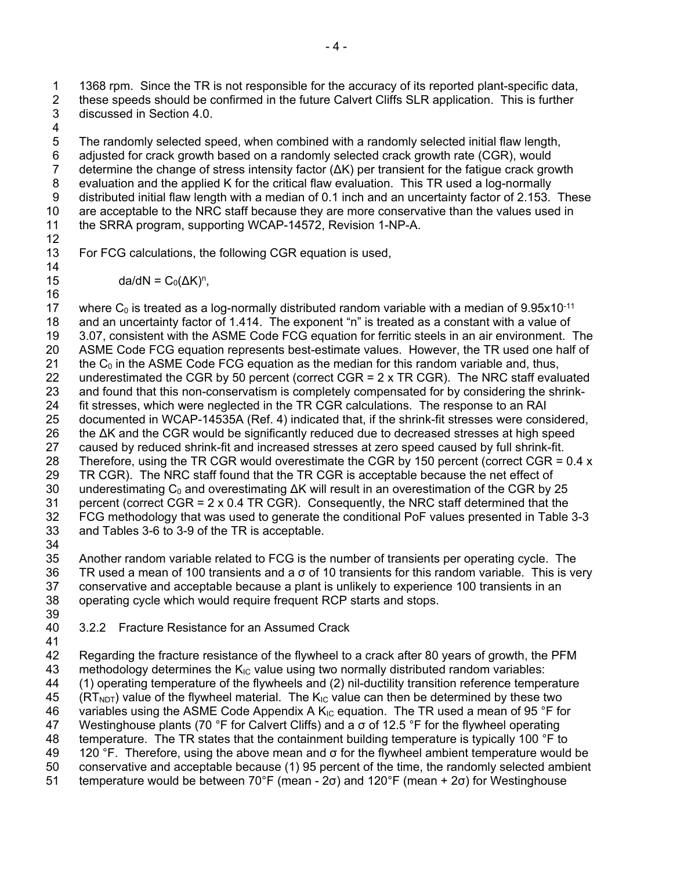1 1368 rpm. Since the TR is not responsible for the accuracy of its reported plant-specific data, 2 these speeds should be confirmed in the future Calvert Cliffs SLR application. This is further 3 discussed in Section 4.0.

4

5 The randomly selected speed, when combined with a randomly selected initial flaw length, 6 adjusted for crack growth based on a randomly selected crack growth rate (CGR), would 7 determine the change of stress intensity factor (ΔK) per transient for the fatigue crack growth 8 evaluation and the applied K for the critical flaw evaluation. This TR used a log-normally 9 distributed initial flaw length with a median of 0.1 inch and an uncertainty factor of 2.153. These 10 are acceptable to the NRC staff because they are more conservative than the values used in 11 the SRRA program, supporting WCAP-14572, Revision 1-NP-A. 12

13 For FCG calculations, the following CGR equation is used, 14

15  $da/dN = C_0(\Delta K)^n$ ,

16 17 where  $C_0$  is treated as a log-normally distributed random variable with a median of 9.95 $\times$ 10<sup>-11</sup> 18 and an uncertainty factor of 1.414. The exponent "n" is treated as a constant with a value of 19 3.07, consistent with the ASME Code FCG equation for ferritic steels in an air environment. The 20 ASME Code FCG equation represents best-estimate values. However, the TR used one half of 21 the  $C_0$  in the ASME Code FCG equation as the median for this random variable and, thus, 22 underestimated the CGR by 50 percent (correct CGR =  $2 \times TR CGR$ ). The NRC staff evaluated 23 and found that this non-conservatism is completely compensated for by considering the shrink-24 fit stresses, which were neglected in the TR CGR calculations. The response to an RAI 25 documented in WCAP-14535A (Ref. 4) indicated that, if the shrink-fit stresses were considered, 26 the ΔK and the CGR would be significantly reduced due to decreased stresses at high speed 27 caused by reduced shrink-fit and increased stresses at zero speed caused by full shrink-fit. 28 Therefore, using the TR CGR would overestimate the CGR by 150 percent (correct CGR =  $0.4 \times$ 29 TR CGR). The NRC staff found that the TR CGR is acceptable because the net effect of 30 underestimating  $C_0$  and overestimating  $\Delta K$  will result in an overestimation of the CGR by 25 31 percent (correct CGR = 2 x 0.4 TR CGR). Consequently, the NRC staff determined that the 32 FCG methodology that was used to generate the conditional PoF values presented in Table 3-3 33 and Tables 3-6 to 3-9 of the TR is acceptable. 34

35 Another random variable related to FCG is the number of transients per operating cycle. The 36 TR used a mean of 100 transients and a σ of 10 transients for this random variable. This is very 37 conservative and acceptable because a plant is unlikely to experience 100 transients in an 38 operating cycle which would require frequent RCP starts and stops. 39

- 40 3.2.2 Fracture Resistance for an Assumed Crack
- 41

42 Regarding the fracture resistance of the flywheel to a crack after 80 years of growth, the PFM 43 methodology determines the  $K_{IC}$  value using two normally distributed random variables: 44 (1) operating temperature of the flywheels and (2) nil-ductility transition reference temperature  $45$  (RT<sub>NDT</sub>) value of the flywheel material. The K<sub>IC</sub> value can then be determined by these two 46 variables using the ASME Code Appendix A  $K_{IC}$  equation. The TR used a mean of 95 °F for 47 Westinghouse plants (70 °F for Calvert Cliffs) and a  $\sigma$  of 12.5 °F for the flywheel operating 48 temperature. The TR states that the containment building temperature is typically 100 °F to 49 120 °F. Therefore, using the above mean and  $\sigma$  for the flywheel ambient temperature would be 50 conservative and acceptable because (1) 95 percent of the time, the randomly selected ambient 51 temperature would be between 70°F (mean - 2σ) and 120°F (mean + 2σ) for Westinghouse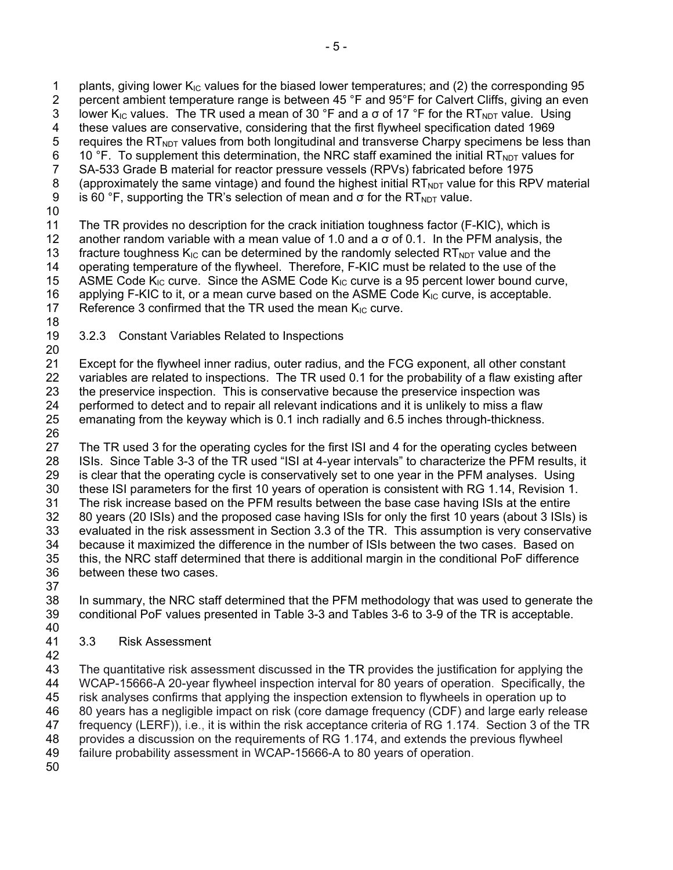2 percent ambient temperature range is between 45 °F and 95°F for Calvert Cliffs, giving an even 3 lower K<sub>IC</sub> values. The TR used a mean of 30 °F and a  $\sigma$  of 17 °F for the RT<sub>NDT</sub> value. Using 4 these values are conservative, considering that the first flywheel specification dated 1969 5 requires the  $RT_{NOT}$  values from both longitudinal and transverse Charpy specimens be less than 6 10 °F. To supplement this determination, the NRC staff examined the initial RT<sub>NDT</sub> values for SA-533 Grade B material for reactor pressure vessels (RPVs) fabricated before 1975 7 SA-533 Grade B material for reactor pressure vessels (RPVs) fabricated before 1975 8 (approximately the same vintage) and found the highest initial  $RT_{NOT}$  value for this RPV material 9 is 60 °F, supporting the TR's selection of mean and  $\sigma$  for the RT<sub>NDT</sub> value. 10 11 The TR provides no description for the crack initiation toughness factor (F-KIC), which is 12 another random variable with a mean value of 1.0 and a  $\sigma$  of 0.1. In the PFM analysis, the 13 fracture toughness  $K_{\text{IC}}$  can be determined by the randomly selected  $RT_{\text{NDT}}$  value and the 14 operating temperature of the flywheel. Therefore, F-KIC must be related to the use of the 15 ASME Code  $K_{IC}$  curve. Since the ASME Code  $K_{IC}$  curve is a 95 percent lower bound curve, 16 applying F-KIC to it, or a mean curve based on the ASME Code  $K_{IC}$  curve, is acceptable. 17 Reference 3 confirmed that the TR used the mean  $K_{IC}$  curve. 18 19 3.2.3 Constant Variables Related to Inspections 20 21 Except for the flywheel inner radius, outer radius, and the FCG exponent, all other constant 22 variables are related to inspections. The TR used 0.1 for the probability of a flaw existing after 23 the preservice inspection. This is conservative because the preservice inspection was 24 performed to detect and to repair all relevant indications and it is unlikely to miss a flaw 25 emanating from the keyway which is 0.1 inch radially and 6.5 inches through-thickness. 26

27 The TR used 3 for the operating cycles for the first ISI and 4 for the operating cycles between 28 ISIs. Since Table 3-3 of the TR used "ISI at 4-year intervals" to characterize the PFM results, it 29 is clear that the operating cycle is conservatively set to one year in the PFM analyses. Using 30 these ISI parameters for the first 10 years of operation is consistent with RG 1.14, Revision 1. 31 The risk increase based on the PFM results between the base case having ISIs at the entire 32 80 years (20 ISIs) and the proposed case having ISIs for only the first 10 years (about 3 ISIs) is 33 evaluated in the risk assessment in Section 3.3 of the TR. This assumption is very conservative 34 because it maximized the difference in the number of ISIs between the two cases. Based on 35 this, the NRC staff determined that there is additional margin in the conditional PoF difference 36 between these two cases.

37

38 In summary, the NRC staff determined that the PFM methodology that was used to generate the 39 conditional PoF values presented in Table 3-3 and Tables 3-6 to 3-9 of the TR is acceptable.

- 40
- 41 3.3 Risk Assessment
- 42

43 The quantitative risk assessment discussed in the TR provides the justification for applying the 44 WCAP-15666-A 20-year flywheel inspection interval for 80 years of operation. Specifically, the 45 risk analyses confirms that applying the inspection extension to flywheels in operation up to 46 80 years has a negligible impact on risk (core damage frequency (CDF) and large early release 47 frequency (LERF)), i.e., it is within the risk acceptance criteria of RG 1.174. Section 3 of the TR 48 provides a discussion on the requirements of RG 1.174, and extends the previous flywheel

- 49 failure probability assessment in WCAP-15666-A to 80 years of operation.
- 50

1 plants, giving lower  $K_{\text{IC}}$  values for the biased lower temperatures; and (2) the corresponding 95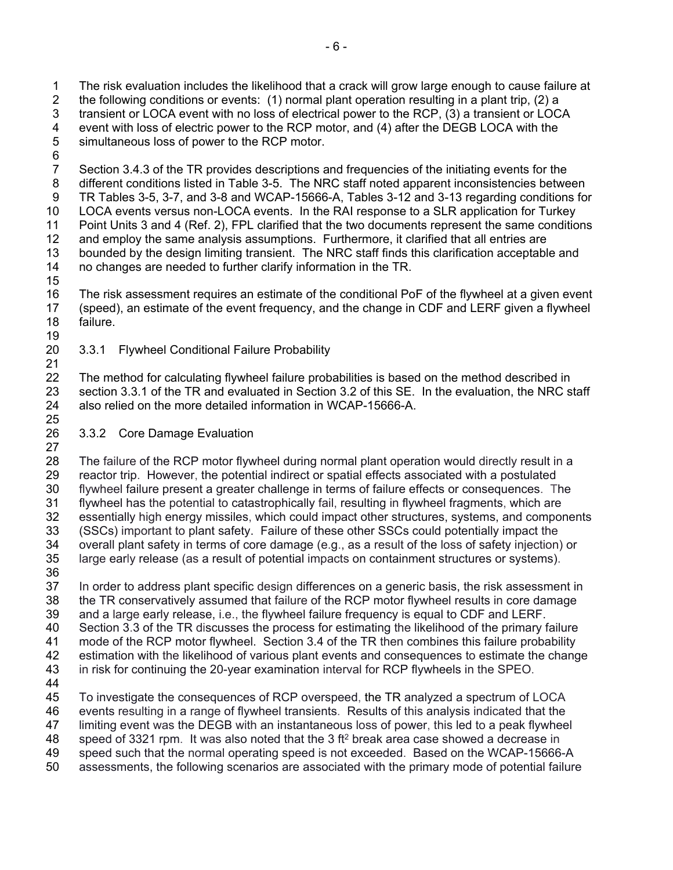1 The risk evaluation includes the likelihood that a crack will grow large enough to cause failure at 2 the following conditions or events: (1) normal plant operation resulting in a plant trip, (2) a 3 transient or LOCA event with no loss of electrical power to the RCP, (3) a transient or LOCA 4 event with loss of electric power to the RCP motor, and (4) after the DEGB LOCA with the 5 simultaneous loss of power to the RCP motor.

6

7 Section 3.4.3 of the TR provides descriptions and frequencies of the initiating events for the 8 different conditions listed in Table 3-5. The NRC staff noted apparent inconsistencies between 9 TR Tables 3-5, 3-7, and 3-8 and WCAP-15666-A, Tables 3-12 and 3-13 regarding conditions for 10 LOCA events versus non-LOCA events. In the RAI response to a SLR application for Turkey 11 Point Units 3 and 4 (Ref. 2), FPL clarified that the two documents represent the same conditions 12 and employ the same analysis assumptions. Furthermore, it clarified that all entries are 13 bounded by the design limiting transient. The NRC staff finds this clarification acceptable and 14 no changes are needed to further clarify information in the TR. 15

- 16 The risk assessment requires an estimate of the conditional PoF of the flywheel at a given event 17 (speed), an estimate of the event frequency, and the change in CDF and LERF given a flywheel 18 failure.
- 19
- 20 3.3.1 Flywheel Conditional Failure Probability 21

22 The method for calculating flywheel failure probabilities is based on the method described in 23 section 3.3.1 of the TR and evaluated in Section 3.2 of this SE. In the evaluation, the NRC staff 24 also relied on the more detailed information in WCAP-15666-A. 25

26 3.3.2 Core Damage Evaluation

27 28 The failure of the RCP motor flywheel during normal plant operation would directly result in a 29 reactor trip. However, the potential indirect or spatial effects associated with a postulated 30 flywheel failure present a greater challenge in terms of failure effects or consequences. The 31 flywheel has the potential to catastrophically fail, resulting in flywheel fragments, which are 32 essentially high energy missiles, which could impact other structures, systems, and components 33 (SSCs) important to plant safety. Failure of these other SSCs could potentially impact the 34 overall plant safety in terms of core damage (e.g., as a result of the loss of safety injection) or 35 large early release (as a result of potential impacts on containment structures or systems). 36

37 In order to address plant specific design differences on a generic basis, the risk assessment in 38 the TR conservatively assumed that failure of the RCP motor flywheel results in core damage 39 and a large early release, i.e., the flywheel failure frequency is equal to CDF and LERF. 40 Section 3.3 of the TR discusses the process for estimating the likelihood of the primary failure 41 mode of the RCP motor flywheel. Section 3.4 of the TR then combines this failure probability 42 estimation with the likelihood of various plant events and consequences to estimate the change 43 in risk for continuing the 20-year examination interval for RCP flywheels in the SPEO. 44 45 To investigate the consequences of RCP overspeed, the TR analyzed a spectrum of LOCA

46 events resulting in a range of flywheel transients. Results of this analysis indicated that the 47 limiting event was the DEGB with an instantaneous loss of power, this led to a peak flywheel 48 speed of 3321 rpm. It was also noted that the 3 ft<sup>2</sup> break area case showed a decrease in 49 speed such that the normal operating speed is not exceeded. Based on the WCAP-15666-A

50 assessments, the following scenarios are associated with the primary mode of potential failure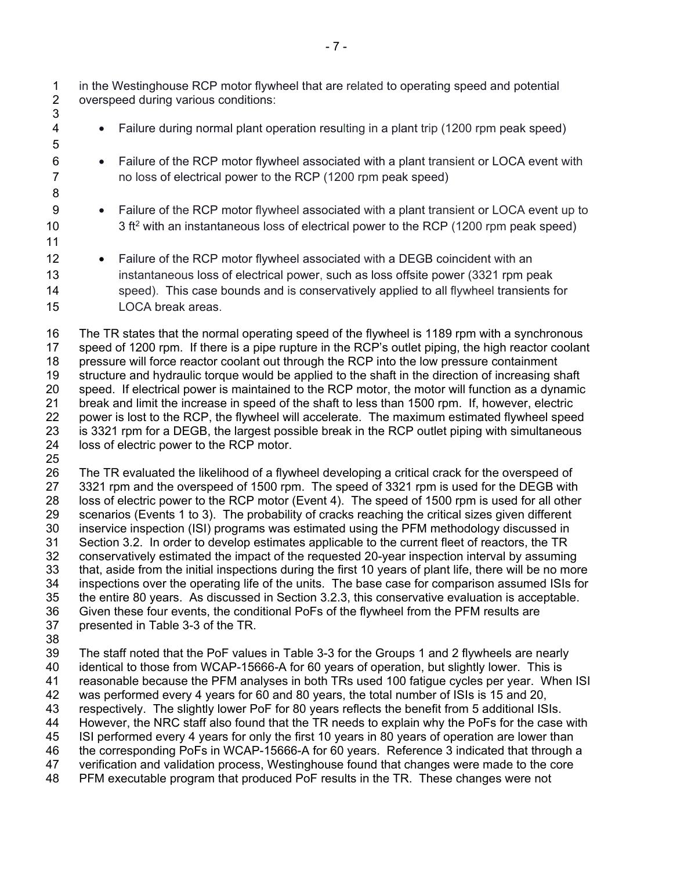1 in the Westinghouse RCP motor flywheel that are related to operating speed and potential<br>2 overspeed during various conditions: overspeed during various conditions: 3

- 4 Failure during normal plant operation resulting in a plant trip (1200 rpm peak speed)
- 6 Failure of the RCP motor flywheel associated with a plant transient or LOCA event with 7 no loss of electrical power to the RCP (1200 rpm peak speed)
- 9 Failure of the RCP motor flywheel associated with a plant transient or LOCA event up to  $3$  ft<sup>2</sup> with an instantaneous loss of electrical power to the RCP (1200 rpm peak speed)
- 11

5

8

12 • Failure of the RCP motor flywheel associated with a DEGB coincident with an 13 instantaneous loss of electrical power, such as loss offsite power (3321 rpm peak 14 speed). This case bounds and is conservatively applied to all flywheel transients for 15 LOCA break areas.

16 The TR states that the normal operating speed of the flywheel is 1189 rpm with a synchronous 17 speed of 1200 rpm. If there is a pipe rupture in the RCP's outlet piping, the high reactor coolant 18 pressure will force reactor coolant out through the RCP into the low pressure containment 19 structure and hydraulic torque would be applied to the shaft in the direction of increasing shaft 20 speed. If electrical power is maintained to the RCP motor, the motor will function as a dynamic 21 break and limit the increase in speed of the shaft to less than 1500 rpm. If, however, electric power is lost to the RCP, the flywheel will accelerate. The maximum estimated flywheel speed 23 is 3321 rpm for a DEGB, the largest possible break in the RCP outlet piping with simultaneous 24 loss of electric power to the RCP motor.

25

26 The TR evaluated the likelihood of a flywheel developing a critical crack for the overspeed of 27 3321 rpm and the overspeed of 1500 rpm. The speed of 3321 rpm is used for the DEGB with 28 loss of electric power to the RCP motor (Event 4). The speed of 1500 rpm is used for all other 29 scenarios (Events 1 to 3). The probability of cracks reaching the critical sizes given different 30 inservice inspection (ISI) programs was estimated using the PFM methodology discussed in 31 Section 3.2. In order to develop estimates applicable to the current fleet of reactors, the TR 32 conservatively estimated the impact of the requested 20-year inspection interval by assuming 33 that, aside from the initial inspections during the first 10 years of plant life, there will be no more 34 inspections over the operating life of the units. The base case for comparison assumed ISIs for 35 the entire 80 years. As discussed in Section 3.2.3, this conservative evaluation is acceptable. 36 Given these four events, the conditional PoFs of the flywheel from the PFM results are 37 presented in Table 3-3 of the TR.

38

39 The staff noted that the PoF values in Table 3-3 for the Groups 1 and 2 flywheels are nearly 40 identical to those from WCAP-15666-A for 60 years of operation, but slightly lower. This is 41 reasonable because the PFM analyses in both TRs used 100 fatigue cycles per year. When ISI 42 was performed every 4 years for 60 and 80 years, the total number of ISIs is 15 and 20, 43 respectively. The slightly lower PoF for 80 years reflects the benefit from 5 additional ISIs. 44 However, the NRC staff also found that the TR needs to explain why the PoFs for the case with 45 ISI performed every 4 years for only the first 10 years in 80 years of operation are lower than 46 the corresponding PoFs in WCAP-15666-A for 60 years. Reference 3 indicated that through a 47 verification and validation process, Westinghouse found that changes were made to the core 48 PFM executable program that produced PoF results in the TR. These changes were not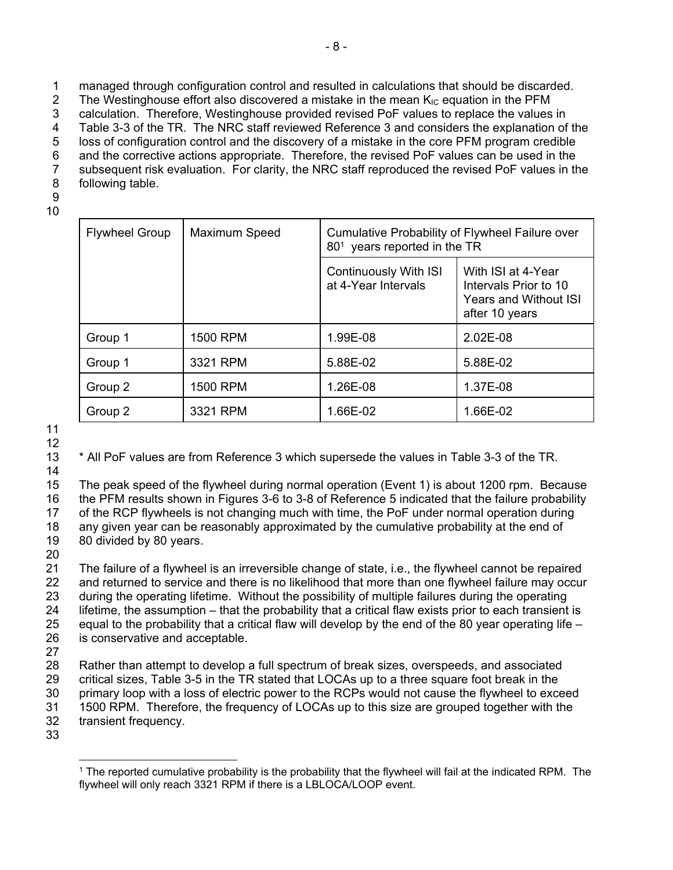1 managed through configuration control and resulted in calculations that should be discarded.

2 The Westinghouse effort also discovered a mistake in the mean  $K_{IC}$  equation in the PFM

3 calculation. Therefore, Westinghouse provided revised PoF values to replace the values in

4 Table 3-3 of the TR. The NRC staff reviewed Reference 3 and considers the explanation of the 5 loss of configuration control and the discovery of a mistake in the core PFM program credible

6 and the corrective actions appropriate. Therefore, the revised PoF values can be used in the

7 subsequent risk evaluation. For clarity, the NRC staff reproduced the revised PoF values in the

8 following table.

9 10

| <b>Flywheel Group</b> | Maximum Speed | Cumulative Probability of Flywheel Failure over<br>80 <sup>1</sup> years reported in the TR |                                                                                               |
|-----------------------|---------------|---------------------------------------------------------------------------------------------|-----------------------------------------------------------------------------------------------|
|                       |               | <b>Continuously With ISI</b><br>at 4-Year Intervals                                         | With ISI at 4-Year<br>Intervals Prior to 10<br><b>Years and Without ISI</b><br>after 10 years |
| Group 1               | 1500 RPM      | 1.99E-08                                                                                    | 2.02E-08                                                                                      |
| Group 1               | 3321 RPM      | 5.88E-02                                                                                    | 5.88E-02                                                                                      |
| Group 2               | 1500 RPM      | 1.26E-08                                                                                    | 1.37E-08                                                                                      |
| Group 2               | 3321 RPM      | 1.66E-02                                                                                    | 1.66E-02                                                                                      |

11 12

13 \* All PoF values are from Reference 3 which supersede the values in Table 3-3 of the TR.

14

15 The peak speed of the flywheel during normal operation (Event 1) is about 1200 rpm. Because 16 the PFM results shown in Figures 3-6 to 3-8 of Reference 5 indicated that the failure probability 17 of the RCP flywheels is not changing much with time, the PoF under normal operation during 18 any given year can be reasonably approximated by the cumulative probability at the end of 19 80 divided by 80 years.

 $\frac{20}{21}$ The failure of a flywheel is an irreversible change of state, i.e., the flywheel cannot be repaired 22 and returned to service and there is no likelihood that more than one flywheel failure may occur 23 during the operating lifetime. Without the possibility of multiple failures during the operating 24 lifetime, the assumption – that the probability that a critical flaw exists prior to each transient is 25 equal to the probability that a critical flaw will develop by the end of the 80 year operating life – 26 is conservative and acceptable.

27

28 Rather than attempt to develop a full spectrum of break sizes, overspeeds, and associated 29 critical sizes, Table 3-5 in the TR stated that LOCAs up to a three square foot break in the 30 primary loop with a loss of electric power to the RCPs would not cause the flywheel to exceed 31 1500 RPM. Therefore, the frequency of LOCAs up to this size are grouped together with the 32 transient frequency.

33

<sup>-</sup>1 The reported cumulative probability is the probability that the flywheel will fail at the indicated RPM. The flywheel will only reach 3321 RPM if there is a LBLOCA/LOOP event.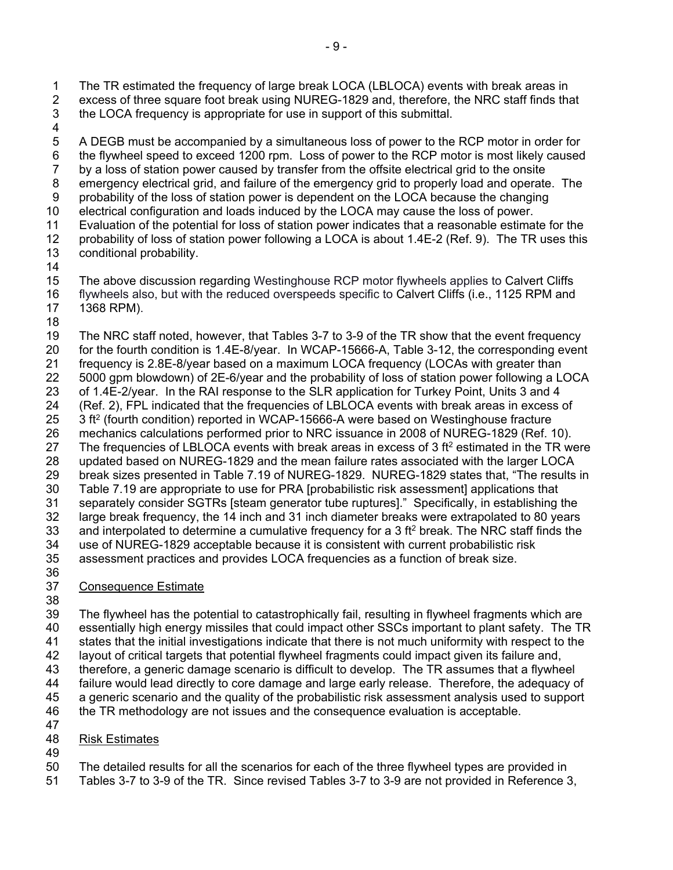1 The TR estimated the frequency of large break LOCA (LBLOCA) events with break areas in 2 excess of three square foot break using NUREG-1829 and, therefore, the NRC staff finds that 3 the LOCA frequency is appropriate for use in support of this submittal.

4

5 A DEGB must be accompanied by a simultaneous loss of power to the RCP motor in order for 6 the flywheel speed to exceed 1200 rpm. Loss of power to the RCP motor is most likely caused 7 by a loss of station power caused by transfer from the offsite electrical grid to the onsite 8 emergency electrical grid, and failure of the emergency grid to properly load and operate. The

9 probability of the loss of station power is dependent on the LOCA because the changing

10 electrical configuration and loads induced by the LOCA may cause the loss of power.

11 Evaluation of the potential for loss of station power indicates that a reasonable estimate for the

12 probability of loss of station power following a LOCA is about 1.4E-2 (Ref. 9). The TR uses this 13 conditional probability.

14

15 The above discussion regarding Westinghouse RCP motor flywheels applies to Calvert Cliffs 16 flywheels also, but with the reduced overspeeds specific to Calvert Cliffs (i.e., 1125 RPM and

17 1368 RPM).

18

19 The NRC staff noted, however, that Tables 3-7 to 3-9 of the TR show that the event frequency 20 for the fourth condition is 1.4E-8/year. In WCAP-15666-A, Table 3-12, the corresponding event 21 frequency is 2.8E-8/year based on a maximum LOCA frequency (LOCAs with greater than 22 5000 gpm blowdown) of 2E-6/year and the probability of loss of station power following a LOCA 23 of 1.4E-2/year. In the RAI response to the SLR application for Turkey Point, Units 3 and 4 24 (Ref. 2), FPL indicated that the frequencies of LBLOCA events with break areas in excess of 25 3 ft<sup>2</sup> (fourth condition) reported in WCAP-15666-A were based on Westinghouse fracture 26 mechanics calculations performed prior to NRC issuance in 2008 of NUREG-1829 (Ref. 10). 27 The frequencies of LBLOCA events with break areas in excess of 3 ft<sup>2</sup> estimated in the TR were 28 updated based on NUREG-1829 and the mean failure rates associated with the larger LOCA 29 break sizes presented in Table 7.19 of NUREG-1829. NUREG-1829 states that, "The results in 30 Table 7.19 are appropriate to use for PRA [probabilistic risk assessment] applications that 31 separately consider SGTRs [steam generator tube ruptures]." Specifically, in establishing the 32 large break frequency, the 14 inch and 31 inch diameter breaks were extrapolated to 80 years 33 and interpolated to determine a cumulative frequency for a 3 ft<sup>2</sup> break. The NRC staff finds the 34 use of NUREG-1829 acceptable because it is consistent with current probabilistic risk 35 assessment practices and provides LOCA frequencies as a function of break size. 36

- 
- 38

37 Consequence Estimate

39 The flywheel has the potential to catastrophically fail, resulting in flywheel fragments which are

- 40 essentially high energy missiles that could impact other SSCs important to plant safety. The TR 41 states that the initial investigations indicate that there is not much uniformity with respect to the
- 42 layout of critical targets that potential flywheel fragments could impact given its failure and,
- 43 therefore, a generic damage scenario is difficult to develop. The TR assumes that a flywheel

44 failure would lead directly to core damage and large early release. Therefore, the adequacy of

45 a generic scenario and the quality of the probabilistic risk assessment analysis used to support

46 the TR methodology are not issues and the consequence evaluation is acceptable. 47

- 48 Risk Estimates
- 49

50 The detailed results for all the scenarios for each of the three flywheel types are provided in

51 Tables 3-7 to 3-9 of the TR. Since revised Tables 3-7 to 3-9 are not provided in Reference 3,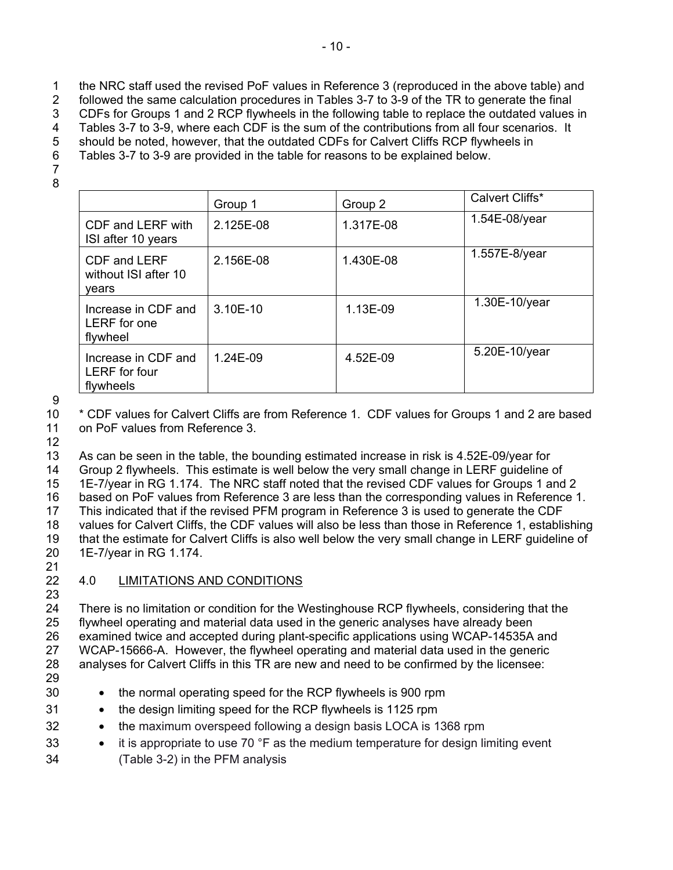- 1 the NRC staff used the revised PoF values in Reference 3 (reproduced in the above table) and
- 2 followed the same calculation procedures in Tables 3-7 to 3-9 of the TR to generate the final
- 3 CDFs for Groups 1 and 2 RCP flywheels in the following table to replace the outdated values in
- 4 Tables 3-7 to 3-9, where each CDF is the sum of the contributions from all four scenarios. It 5 should be noted, however, that the outdated CDFs for Calvert Cliffs RCP flywheels in
- 
- 6 Tables 3-7 to 3-9 are provided in the table for reasons to be explained below.
- 7 8
- Group 1 Group 2 Calvert Cliffs\* CDF and LERF with ISI after 10 years 2.125E-08 1.317E-08 1.54E-08/year CDF and LERF without ISI after 10 years 2.156E-08 1.430E-08 1.557E-8/year Increase in CDF and LERF for one flywheel 3.10E-10 1.13E-09 1.30E-10/year Increase in CDF and LERF for four flywheels 1.24E-09  $4.52E-09$  5.20E-10/year

9

10 \* CDF values for Calvert Cliffs are from Reference 1. CDF values for Groups 1 and 2 are based 11 on PoF values from Reference 3.

12

13 As can be seen in the table, the bounding estimated increase in risk is 4.52E-09/year for 14 Group 2 flywheels. This estimate is well below the very small change in LERF guideline of 15 1E-7/year in RG 1.174. The NRC staff noted that the revised CDF values for Groups 1 and 2 16 based on PoF values from Reference 3 are less than the corresponding values in Reference 1. 17 This indicated that if the revised PFM program in Reference 3 is used to generate the CDF 18 values for Calvert Cliffs, the CDF values will also be less than those in Reference 1, establishing 19 that the estimate for Calvert Cliffs is also well below the very small change in LERF guideline of 20 1E-7/year in RG 1.174.

21

#### 22 4.0 LIMITATIONS AND CONDITIONS 23

24 There is no limitation or condition for the Westinghouse RCP flywheels, considering that the 25 flywheel operating and material data used in the generic analyses have already been 26 examined twice and accepted during plant-specific applications using WCAP-14535A and 27 WCAP-15666-A. However, the flywheel operating and material data used in the generic 28 analyses for Calvert Cliffs in this TR are new and need to be confirmed by the licensee:

- 29
- 30 the normal operating speed for the RCP flywheels is 900 rpm
- 31 the design limiting speed for the RCP flywheels is 1125 rpm
- 32 the maximum overspeed following a design basis LOCA is 1368 rpm
- 33 it is appropriate to use 70 °F as the medium temperature for design limiting event 34 (Table 3-2) in the PFM analysis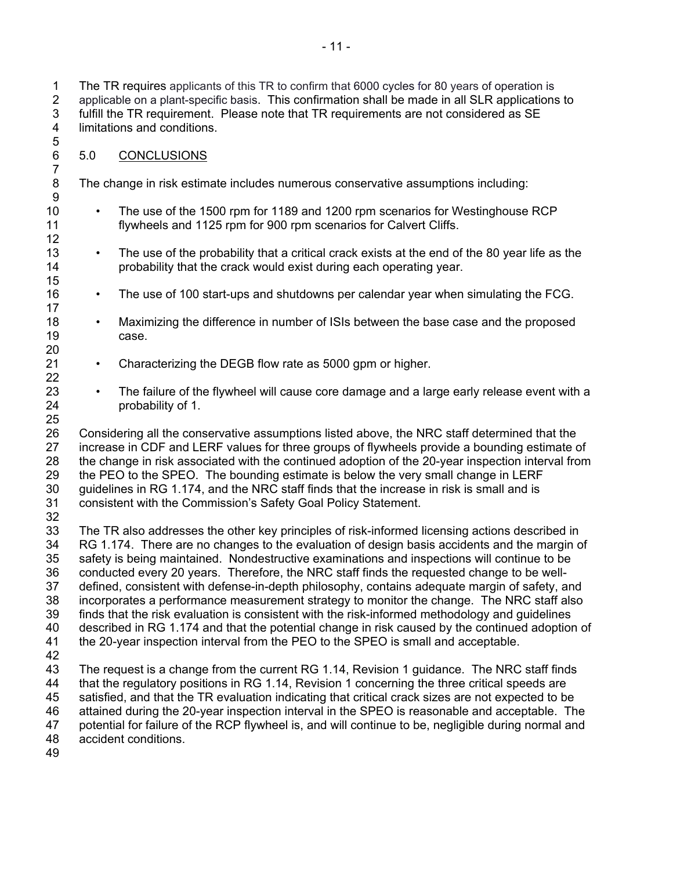1 The TR requires applicants of this TR to confirm that 6000 cycles for 80 years of operation is 2 applicable on a plant-specific basis. This confirmation shall be made in all SLR applications to 3 fulfill the TR requirement. Please note that TR requirements are not considered as SE 4 limitations and conditions. 5

- 6 5.0 CONCLUSIONS
- 8 The change in risk estimate includes numerous conservative assumptions including:
- 10 The use of the 1500 rpm for 1189 and 1200 rpm scenarios for Westinghouse RCP 11 flywheels and 1125 rpm for 900 rpm scenarios for Calvert Cliffs.
- 13 The use of the probability that a critical crack exists at the end of the 80 year life as the 14 probability that the crack would exist during each operating year.
- 16 The use of 100 start-ups and shutdowns per calendar year when simulating the FCG.
- 18 Maximizing the difference in number of ISIs between the base case and the proposed 19 case.
- 21 Characterizing the DEGB flow rate as 5000 gpm or higher.
- 23 The failure of the flywheel will cause core damage and a large early release event with a 24 probability of 1.

26 Considering all the conservative assumptions listed above, the NRC staff determined that the 27 increase in CDF and LERF values for three groups of flywheels provide a bounding estimate of 28 the change in risk associated with the continued adoption of the 20-year inspection interval from 29 the PEO to the SPEO. The bounding estimate is below the very small change in LERF 30 guidelines in RG 1.174, and the NRC staff finds that the increase in risk is small and is 31 consistent with the Commission's Safety Goal Policy Statement.

32

7

9

12

15

17

20

22

25

33 The TR also addresses the other key principles of risk-informed licensing actions described in 34 RG 1.174. There are no changes to the evaluation of design basis accidents and the margin of 35 safety is being maintained. Nondestructive examinations and inspections will continue to be 36 conducted every 20 years. Therefore, the NRC staff finds the requested change to be well-37 defined, consistent with defense-in-depth philosophy, contains adequate margin of safety, and 38 incorporates a performance measurement strategy to monitor the change. The NRC staff also 39 finds that the risk evaluation is consistent with the risk-informed methodology and guidelines 40 described in RG 1.174 and that the potential change in risk caused by the continued adoption of 41 the 20-year inspection interval from the PEO to the SPEO is small and acceptable. 42 43 The request is a change from the current RG 1.14, Revision 1 guidance. The NRC staff finds 44 that the regulatory positions in RG 1.14, Revision 1 concerning the three critical speeds are

45 satisfied, and that the TR evaluation indicating that critical crack sizes are not expected to be

46 attained during the 20-year inspection interval in the SPEO is reasonable and acceptable. The 47 potential for failure of the RCP flywheel is, and will continue to be, negligible during normal and

potential for failure of the RCP flywheel is, and will continue to be, negligible during normal and

48 accident conditions.

49